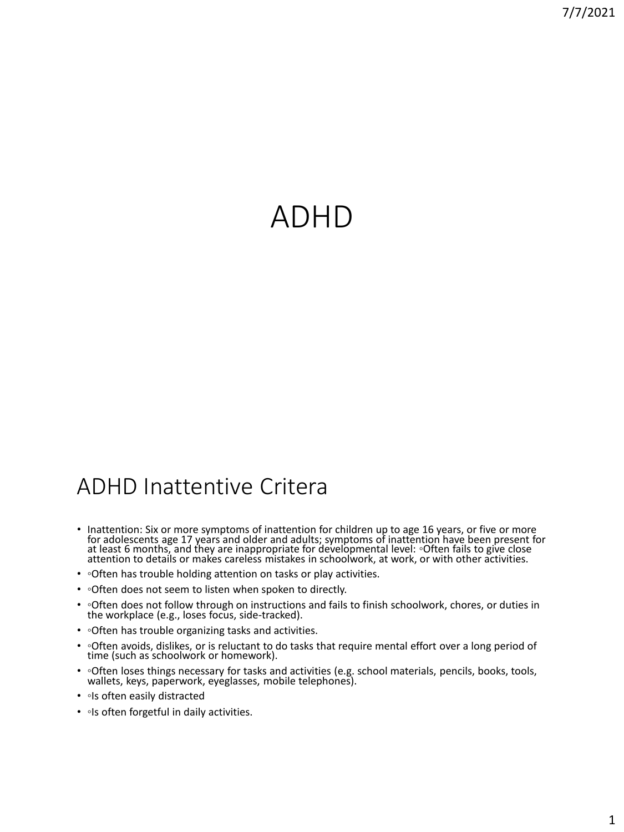# ADHD

## ADHD Inattentive Critera

- Inattention: Six or more symptoms of inattention for children up to age 16 years, or five or more for adolescents age 17 years and older and adults; symptoms of inattention have been present for at least 6 months, and they are inappropriate for developmental level: ◦Often fails to give close attention to details or makes careless mistakes in schoolwork, at work, or with other activities.
- ∘Often has trouble holding attention on tasks or play activities.
- ∘Often does not seem to listen when spoken to directly.
- ©Often does not follow through on instructions and fails to finish schoolwork, chores, or duties in the workplace (e.g., loses focus, side-tracked).
- ◦Often has trouble organizing tasks and activities.
- ◦Often avoids, dislikes, or is reluctant to do tasks that require mental effort over a long period of time (such as schoolwork or homework).
- ◦Often loses things necessary for tasks and activities (e.g. school materials, pencils, books, tools, wallets, keys, paperwork, eyeglasses, mobile telephones).
- • Is often easily distracted
- **Is often forgetful in daily activities.**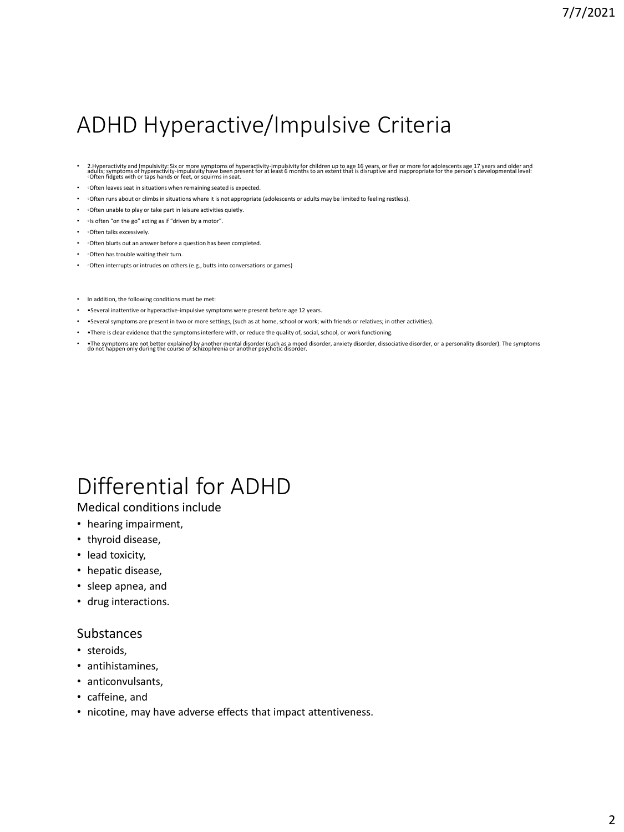## ADHD Hyperactive/Impulsive Criteria

- 2. Hyperactivity and Impulsivity: Six or more symptoms of hyperactivity-impulsivity for children up to age 16 years, or five or more for adolescents age 17 years and older and<br>adults; symptoms of hyperactivity-impulsiv
- ◦Often leaves seat in situations when remaining seated is expected.
- ◦Often runs about or climbs in situations where it is not appropriate (adolescents or adults may be limited to feeling restless).
- ◦Often unable to play or take part in leisure activities quietly.
- • Is often "on the go" acting as if "driven by a motor".
- often talks excessively.
- ◦Often blurts out an answer before a question has been completed.
- • ⊙ften has trouble waiting their turn.
- • Often interrupts or intrudes on others (e.g., butts into conversations or games)
- In addition, the following conditions must be met:
- •Several inattentive or hyperactive-impulsive symptoms were present before age 12 years.
- •Several symptoms are present in two or more settings, (such as at home, school or work; with friends or relatives; in other activities).
- •There is clear evidence that the symptoms interfere with, or reduce the quality of, social, school, or work functioning.
- • The symptoms are not better explained by another mental disorder, anxiety armod disorder, dissociative disorder, or a personality disorder). The symptoms do not happen only during the course of schizophrenia or anothe

# Differential for ADHD

## Medical conditions include

- hearing impairment,
- thyroid disease,
- lead toxicity,
- hepatic disease,
- sleep apnea, and
- drug interactions.

### Substances

- steroids,
- antihistamines,
- anticonvulsants,
- caffeine, and
- nicotine, may have adverse effects that impact attentiveness.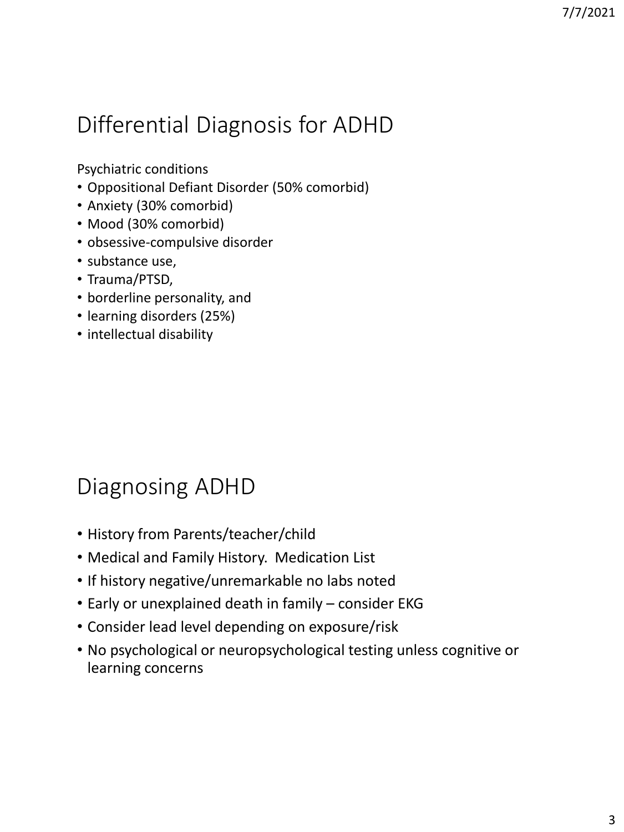# Differential Diagnosis for ADHD

Psychiatric conditions

- Oppositional Defiant Disorder (50% comorbid)
- Anxiety (30% comorbid)
- Mood (30% comorbid)
- obsessive-compulsive disorder
- substance use,
- Trauma/PTSD,
- borderline personality, and
- learning disorders (25%)
- intellectual disability

# Diagnosing ADHD

- History from Parents/teacher/child
- Medical and Family History. Medication List
- If history negative/unremarkable no labs noted
- Early or unexplained death in family consider EKG
- Consider lead level depending on exposure/risk
- No psychological or neuropsychological testing unless cognitive or learning concerns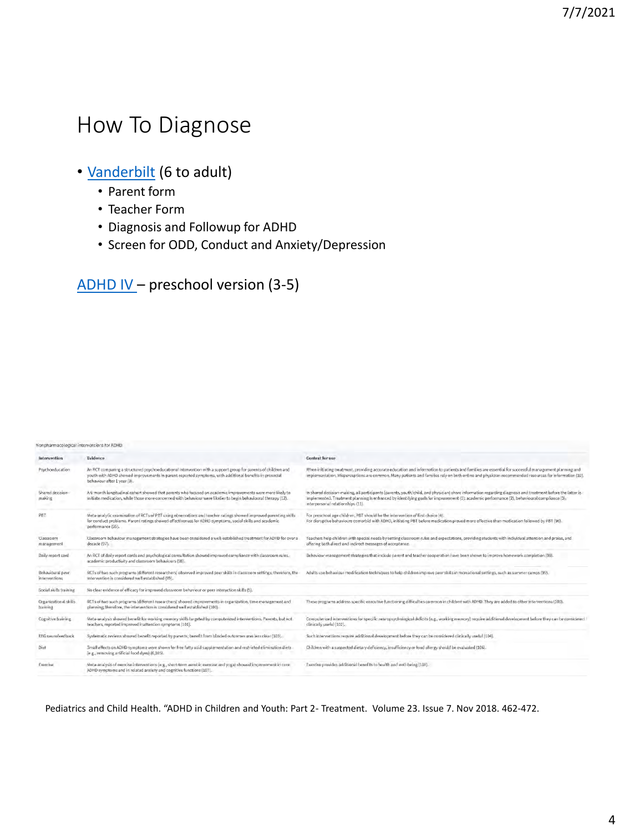## How To Diagnose

## • [Vanderbilt](https://www.nichq.org/sites/default/files/resource-file/NICHQ_Vanderbilt_Assessment_Scales.pdfhttps:/www.nichq.org/sites/default/files/resource-file/NICHQ_Vanderbilt_Assessment_Scales.pdf) (6 to adult)

- Parent form
- Teacher Form
- Diagnosis and Followup for ADHD
- Screen for ODD, Conduct and Anxiety/Depression

[ADHD IV](https://5d4074a8-6e11-4805-9971-1a32a40d896d.filesusr.com/ugd/0af0d3_f83ae58779be4884af81029460d5bf22.pdf) – preschool version (3-5)

| Nonpharmacological interventions for ADHD |                                                                                                                                                                                                                                                        |                                                                                                                                                                                                                                                                                                                                                |
|-------------------------------------------|--------------------------------------------------------------------------------------------------------------------------------------------------------------------------------------------------------------------------------------------------------|------------------------------------------------------------------------------------------------------------------------------------------------------------------------------------------------------------------------------------------------------------------------------------------------------------------------------------------------|
| Intervention                              | Evidence                                                                                                                                                                                                                                               | <b>Context for use</b>                                                                                                                                                                                                                                                                                                                         |
| Psychoeducation                           | An RCT comparing a structured psychoeducational intervention with a support group for parents of children and<br>youth with ADHD showed improvements in parent-reported symptoms, with additional benefits in prosocial<br>behaviour after 1 year (9). | When initiating treatment, providing accurate education and information to patients and families are essential for successful management planning and<br>implementation. Misperceptions are common. Many patients and families rely on both online and physician-recommended resources for information (10).                                   |
| Shared decision-<br>making                | A 6-month longitudinal cohort showed that parents who focused on academic improvements were more likely to<br>initiate medication, while those more concerned with behaviour were likelier to begin behavioural therapy (12).                          | in shared decision-making, all participants (parents, youth/child, and physician) share information regarding diagnosis and treatment before the latter is<br>implemented. Treatment planning is enhanced by identifying goals for improvement (1): academic performance (2), behavioural compliance (3),<br>interpersonal relationships (11). |
| PBT                                       | Meta-analytic examination of RCTs of PBT using observations and teacher ratings showed improved parenting skills<br>for conduct problems. Parent ratings showed effectiveness for ADHD symptoms, social skills and academic<br>performance (95).       | For preschool age children, PBT should be the intervention of first choice (4).<br>For disruptive behaviours comorbid with ADHD, initiating PBT before medication proved more effective than medication followed by PBT (96).                                                                                                                  |
| Classroom<br>management                   | Classroom behaviour management strategies have been considered a well-established treatment for ADHD for over a<br>decade (97).                                                                                                                        | Teachers help children with special needs by setting classroom rules and expectations, providing students with individual attention and praise, and<br>offering both direct and indirect messages of acceptance.                                                                                                                               |
| Daily report card                         | An RCT of daily report cards and psychological consultation showed improved compliance with classroom rules.<br>academic productivity and classroom behaviours (98).                                                                                   | Behaviour management strategies that include parent and teacher cooperation have been shown to improve homework completion (98)                                                                                                                                                                                                                |
| Behavioural peer<br>interventions         | RCTs of two such programs (different researchers) observed improved peer skills in classroom settings; therefore, the<br>intervention is considered well established (99).                                                                             | Adults use behaviour modification techniques to help children improve peer skills in recreational settings, such as summer camps (99).                                                                                                                                                                                                         |
| Social skills training                    | No clear evidence of efficacy for improved classroom behaviour or peer interaction skills (5).                                                                                                                                                         |                                                                                                                                                                                                                                                                                                                                                |
| Organizational skills<br>training         | RC1s of two such programs (different researchers) showed improvements in organization, time management and<br>planning: therefore, the intervention is considered well established (100).                                                              | These programs address specific executive functioning difficulties common in children with ADHD. They are added to other interventions (100).                                                                                                                                                                                                  |
| Cognitive training                        | Meta-analysis showed benefit for working memory skills targeted by computerized interventions. Parents, but not<br>teachers, reported improved inattention symptoms (101).                                                                             | Computerized interventions for specific neuropsychological deficits (e.g., working memory) require additional development before they can be considered<br>clinically useful (102).                                                                                                                                                            |
| EEG neurofeedback                         | Systematic reviews showed benefit reported by parents; benefit from blinded outcomes was less clear (103).                                                                                                                                             | Such interventions require additional development before they can be considered clinically useful (104).                                                                                                                                                                                                                                       |
| Died                                      | Small effects on ADHD symptoms were shown for free fatty acid supplementation and restricted elimination diets<br>[e.g., removing artificial food dyes] (6,105).                                                                                       | Children with a suspected dietary deficiency, insufficiency or food allergy should be evaluated (106).                                                                                                                                                                                                                                         |
| Exercise                                  | Meta-analysis of exercise interventions (e.g., short-term aerobic exercise and yoga) showed improvement in core<br>ADHD experience and in related angular and considius functions (107).                                                               | Exercise provides additional benefits to health and well-being (108).                                                                                                                                                                                                                                                                          |

Pediatrics and Child Health. "ADHD in Children and Youth: Part 2- Treatment. Volume 23. Issue 7. Nov 2018. 462-472.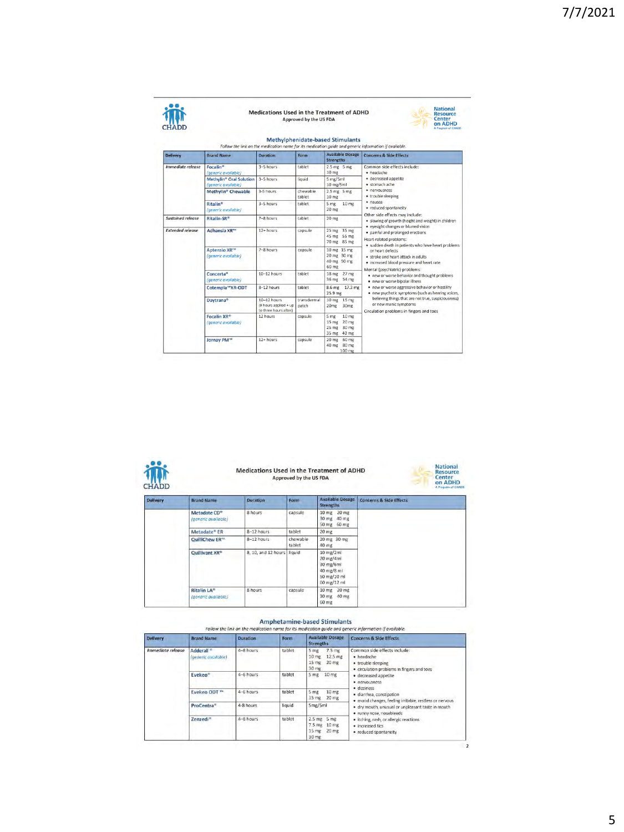| ц<br>í<br>× |
|-------------|

## Medications Used in the Treatment of ADHD<br>Approved by the US FDA



| <b>Delivery</b>          | <b>Brand Name</b>                                                | <b>Duration</b>                                                    | Form                 | <b>Available Dosage</b><br><b>Strengths</b>                                           | <b>Concerns &amp; Side Effects</b>                                                                                                       |
|--------------------------|------------------------------------------------------------------|--------------------------------------------------------------------|----------------------|---------------------------------------------------------------------------------------|------------------------------------------------------------------------------------------------------------------------------------------|
| <i>Immediate release</i> | <b>Focalin®</b><br>(generic available)                           | $3-5$ hours                                                        | tablet               | $2.5$ mg $5$ mg<br>10 <sub>mg</sub>                                                   | Common side effects include:<br>· headache                                                                                               |
|                          | <b>Methylin<sup>®</sup> Oral Solution</b><br>(generic available) | 3-5 hours                                                          | liquid               | 5 mg/5ml<br>$10$ mg/ $5$ ml                                                           | · decreased appetite<br>· stomach ache                                                                                                   |
|                          | Methylin® Chewable                                               | 3-5 hours                                                          | chewable<br>tablet   | $2.5$ mg $5$ mg<br>10 <sub>mg</sub>                                                   | · nervousness<br>· trouble sleeping                                                                                                      |
|                          | <b>Ritalin®</b><br>(generic available)                           | $3-5$ hours                                                        | tablet               | 5 <sub>mg</sub><br>10 <sub>mg</sub><br>20 <sub>mg</sub>                               | · nausea<br>· reduced spontaneity<br>Other side effects may include:                                                                     |
| <b>Sustained release</b> | Ritalin-SR®                                                      | $7-8$ hours                                                        | tablet               | <b>20 mg</b>                                                                          | · slowing of growth (height and weight) in children<br>· eyesight changes or blurred vision                                              |
| <b>Extended release</b>  | Adhansia XR™                                                     | $12 + hours$                                                       | capsule              | 25 mg<br>35 mg<br>45 mg 55 mg<br>70 mg 85 mg                                          | · painful and prolonged erections<br>Heart-related problems:<br>· sudden death in patients who have heart problems                       |
|                          | Aptensio XR <sup>110</sup><br>(generic available)                | 7-8 hours                                                          | capsule              | 10 mg 15 mg<br>20 mg 30 mg<br>40 mg 50 mg<br>60 mg                                    | or heart defects<br>. stroke and heart attack in adults.<br>. increased blood pressure and heart rate.<br>Mental (psychiatric) problems: |
|                          | Concerta®<br>(generic gygilable)                                 | $10 - 12$ hours                                                    | tablet               | 27 <sub>me</sub><br>18 <sub>mg</sub><br>36 mg<br>54 mg                                | . new or worse behavior and thought problems<br>. new or worse bipolar illness                                                           |
|                          | Cotempla™XR-ODT                                                  | 8-12 hours                                                         | tablet               | 8.6 <sub>mg</sub><br>17.3 mg<br>25.9 mg                                               | . new or worse aggressive behavior or hostility<br>· new psychotic symptoms (such as hearing voices,                                     |
|                          | Daytrana <sup>®</sup>                                            | $10 - 12$ hours<br>(9 hours applied + up)<br>to three hours after) | transdermal<br>patch | 10 <sub>mg</sub><br>15 mg<br>20 <sub>mg</sub><br>30 <sub>mg</sub>                     | believing things that are not true, suspiciousness)<br>or new manic symptoms<br>Circulation problems in fingers and toes                 |
|                          | Focalin XR <sup>®</sup><br>(generic available)                   | 12 hours                                                           | capsule              | 10 <sub>mg</sub><br>5 mg<br>$15 \, mg$<br>20 mg<br>$25$ mg<br>30 mg<br>35 mg<br>40 mg |                                                                                                                                          |
|                          | Jornay PM <sup>TM</sup>                                          | $12 + hours$                                                       | capsule              | $20$ mg<br><b>60 mg</b><br>40 mg<br>80 mg<br>$100$ mg                                 |                                                                                                                                          |



## Medications Used in the Treatment of ADHD<br>Approved by the US FDA



| <b>Delivery</b> | <b>Brand Name</b>                               | <b>Duration</b>     | Form               | <b>Available Dosage</b><br><b>Strengths</b>                                     | <b>Concerns &amp; Side Effects</b> |
|-----------------|-------------------------------------------------|---------------------|--------------------|---------------------------------------------------------------------------------|------------------------------------|
|                 | Metadate CD <sup>®</sup><br>(generic available) | 8 hours             | capsule            | 20 <sub>mg</sub><br>10 <sub>mg</sub><br>30 mg<br>40 mg<br>50 mg 60 mg           |                                    |
|                 | Metadate® ER                                    | 8-12 hours          | tablet             | 20 mg                                                                           |                                    |
|                 | QuilliChew ER <sup>114</sup>                    | 8-12 hours          | chewable<br>tablet | 20 mg 30 mg<br>40 mg                                                            |                                    |
|                 | Quillivant XR®                                  | 8, 10, and 12 hours | liquid             | 10 mg/2ml<br>20 mg/4ml<br>30 mg/6ml<br>40 mg/8 ml<br>50 mg/10 ml<br>60 mg/12 ml |                                    |
|                 | <b>Ritalin LA®</b><br>(generic available)       | 8 hours             | capsule            | 10 mg 20 mg<br>30 mg<br>40 mg<br>60 mg                                          |                                    |

### Amphetamine-based Stimulants

| <b>Delivery</b>                 | <b>Brand Name</b>                            | <b>Duration</b> | Form   | <b>Available Dosage</b><br><b>Strengths</b>                                 | <b>Concerns &amp; Side Effects</b>                                                                             |  |  |  |
|---------------------------------|----------------------------------------------|-----------------|--------|-----------------------------------------------------------------------------|----------------------------------------------------------------------------------------------------------------|--|--|--|
| <i><b>Immediate release</b></i> | Adderall <sup>®</sup><br>(generic available) | 4-8 hours       | tablet | $7.5$ mg<br>5 mg<br>10 mg<br>12.5 mg<br>15 <sub>mg</sub><br>20 mg<br>30 mg  | Common side effects include:<br>· headache<br>· trouble sleeping<br>· circulation problems in fingers and toes |  |  |  |
|                                 | <b>Evekeo<sup>®</sup></b>                    | $4-6$ hours     | tablet | 5 mg 10 mg                                                                  | · decreased appetite<br>· nervousness                                                                          |  |  |  |
|                                 | Evekeo ODT™                                  | 4-6 hours       | tablet | 5 mg<br>10 <sub>mg</sub><br>$20$ mg<br>15 mg                                | · dizziness<br>· diarrhea, constipation<br>· mood changes, feeling irritable, restless or nervous              |  |  |  |
|                                 | ProCentra <sup>®</sup>                       | 4-8 hours       | liquid | 5mg/5ml                                                                     | · dry mouth, unusual or unpleasant taste in mouth<br>· runny nose, nosebleeds                                  |  |  |  |
|                                 | Zenzedi <sup>=</sup>                         | $4 - 8$ hours   | täblet | $2.5$ mg $5$ mg<br>$7.5$ mg<br>$10 \text{ mR}$<br>20 mg<br>$15$ mg<br>30 mg | · itching, rash, or allergic reactions<br>· increased tics<br>· reduced spontaneity                            |  |  |  |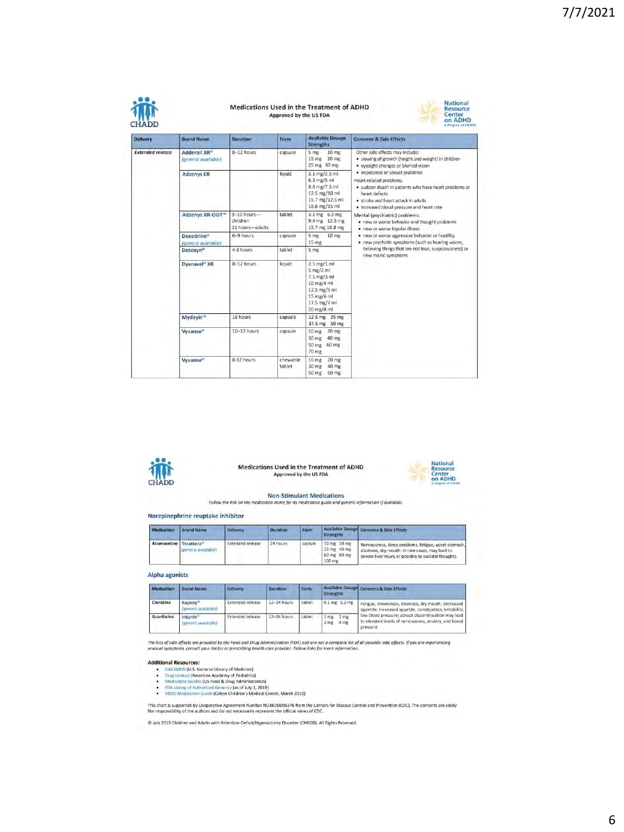| <b>Delivery</b>         | <b>Brand Name</b>                               | Duration                                       | Form               | <b>Available Dosage</b><br><b>Strengths</b>                                                                             | <b>Concerns &amp; Side Effects</b>                                                                                                                                                                                                                                                                        |  |  |
|-------------------------|-------------------------------------------------|------------------------------------------------|--------------------|-------------------------------------------------------------------------------------------------------------------------|-----------------------------------------------------------------------------------------------------------------------------------------------------------------------------------------------------------------------------------------------------------------------------------------------------------|--|--|
| <b>Extended release</b> | Adderall XR <sup>®</sup><br>(generic available) | 8-12 hours                                     | capsule            | 5 <sub>mg</sub><br>$10 \text{ mg}$<br>15 <sub>mg</sub><br>$20$ mg<br>25 mg 30 mg                                        | Other side effects may include:<br>· slowing of growth (height and weight) in children<br>· eyesight changes or blurred vision                                                                                                                                                                            |  |  |
|                         | <b>Adzenys ER</b>                               |                                                | liquid             | 3.1 mg/2.5 ml<br>$6.3$ mg/5 ml<br>9.4 mg/7.5 ml<br>12.5 mg/10 ml<br>15.7 mg/12.5 ml<br>18.8 mg/15 ml                    | · impotence or sexual problems<br>Heart-related problems:<br>· sudden death in patients who have heart problems or<br>heart defects.<br>. stroke and heart attack in adults<br>· increased blood pressure and heart rate                                                                                  |  |  |
|                         | Adzenys XR-ODT <sup>IV</sup>                    | $9 - 10$ hours-<br>children<br>11 hours-adults | tablet             | 3.1 mg 6.3 mg<br>9.4 mg 12.5 mg<br>15.7 mg 18.8 mg                                                                      | Mental (psychiatric) problems:<br>. new or worse behavior and thought problems<br>. new or worse bipolar illness<br>. new or worse aggressive behavior or hostility<br>. new psychotic symptoms (such as hearing voices,<br>believing things that are not true, suspiciousness) or<br>new manic symptoms. |  |  |
|                         | Dexedrine*<br>(generic available)               | 6-9 hours                                      | capsule            | $5$ mg<br>$10$ mg<br>15 mg                                                                                              |                                                                                                                                                                                                                                                                                                           |  |  |
|                         | Desoxyn*                                        | 4-8 hours                                      | tablet             | 5 mg                                                                                                                    |                                                                                                                                                                                                                                                                                                           |  |  |
|                         | Dyanavel <sup>®</sup> XR                        | 8-12 hours                                     | liquid             | $2.5$ mg/1 ml<br>$5$ mg/2 ml<br>7.5 mg/3 ml<br>$10$ mg/4 ml<br>12.5 mg/5 ml<br>15 mg/6 ml<br>17.5 mg/7 ml<br>20 mg/8 ml |                                                                                                                                                                                                                                                                                                           |  |  |
|                         | <b>Mydayis</b> <sup>160</sup>                   | 16 hours                                       | capsule            | 12.5 mg 25 mg<br>37.5 mg 50 mg                                                                                          |                                                                                                                                                                                                                                                                                                           |  |  |
|                         | Wyanse <sup>®</sup>                             | 10-12 hours                                    | capsule            | $20 \, \text{mg}$<br>10 <sub>mg</sub><br>30 mg<br>40 mg<br>60 mg<br>50 mg<br>70 mg                                      |                                                                                                                                                                                                                                                                                                           |  |  |
|                         | Vyvanse <sup>®</sup>                            | 8-12 hours                                     | chewable<br>tablet | 10 <sub>mg</sub><br>20 <sub>mg</sub><br>30 mg<br>40 mg<br>50 mg 60 mg                                                   |                                                                                                                                                                                                                                                                                                           |  |  |



Medications Used in the Treatment of ADHD Approved by the US FDA



Non-Stimulant Medications<br>Follow the link on the medication name for its medication guide and generic information if available

### Norepinephrine reuptake inhibitor

| <b>Medication</b>      | <b>Brand Name</b>   | <b>Delivery</b>         | <b>Duration</b> | Form    | <b>Strengths</b>                                    | Available Dosage Concerns & Side Effects                                                                                                                          |
|------------------------|---------------------|-------------------------|-----------------|---------|-----------------------------------------------------|-------------------------------------------------------------------------------------------------------------------------------------------------------------------|
| Atomoxetine Strattera® | (generic available) | <b>Extended release</b> | 24 hours        | capsule | 10 mg 18 mg<br>25 mg 40 mg<br>60 mg 80 mg<br>100 mg | Nervousness, sleep problems, fatigue, upset stomach.<br>dizziness, dry mouth, in rare cases, may lead to<br>severe liver injury or possibly to suicidal thoughts. |

### Alpha agonists

| Medication | <b>Brand Name</b>                           | <b>Delivery</b>         | Duration    | Form   | <b>Strengths</b>                          | Available Dosage Concerns & Side Effects                                                                                 |  |
|------------|---------------------------------------------|-------------------------|-------------|--------|-------------------------------------------|--------------------------------------------------------------------------------------------------------------------------|--|
| Clonidine  | Kapyay*<br>(generic available)              | Extended release        | 12-24 hours | tablet | $0.1$ mg $0.2$ mg                         | Fatigue, drowsiness, dizziness, dry mouth, decreased<br>appetite, increased appetite, constipation, irritability,        |  |
| Guanfacine | Intuniv <sup>®</sup><br>(generic available) | <b>Extended release</b> | 12-24 hours | tablet | 2 <sub>mg</sub><br>1 mg<br>4 mg<br>$3$ mg | low blood pressure: abrupt discontinuation may lead<br>to elevated levels of nervousness, anxiety, and blood<br>pressure |  |

The lists of side effects are provided by the Food and Drug Administration (FDA) and are not a complete list of all possible side effects. If you are experiencing<br>unusual symptoms, consult your doctor or prescribing health

- 
- 
- 
- **Additional Resources:**<br>• Dial17MED (U.S. National Library of Medicine)<br>• Dial2Dobia (American Academy of Pediatrics)<br>• Medication Guides (US Food & Drug Administration)<br>• FDA Listing of Authorized Generics (as of July 1,

This chart is supported by Cooperative Agreement Number NU38DD005376 from the Centers for Disease Control and Prevention (CDC). The contents are solely<br>the responsibility of the authors and do not necessarily represent the

@ July 2019 Children and Adults with Attention-Deficit/Hyperactivity Disorder (CHADD). All Rights Reserved.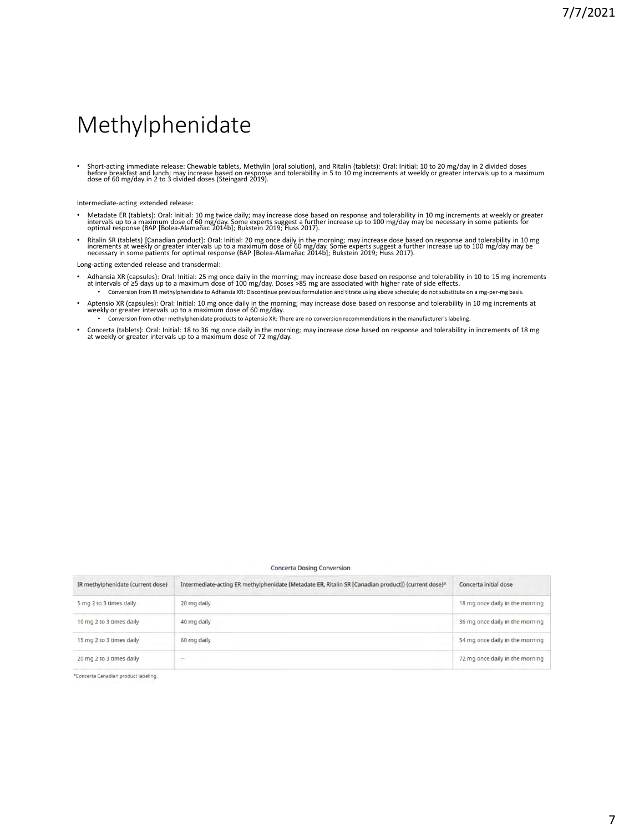## Methylphenidate

• Short-acting immediate release: Chewable tablets, Methylin (oral solution), and Ritalin (tablets): Oral: Initial: 10 to 20 mg/day in 2 divided doses<br>before breakfast and lunch; may increase based on response and tolerabi

Intermediate-acting extended release:

- Metadate ER (tablets): Oral: Initial: 10 mg twice daily; may increase dose based on response and tolerability in 10 mg increments at weekly or greater<br>intervals up to a maximum dose of 60 mg/day. Some experts suggest a f
- Ritalin SR (tablets) [Canadian product]: Oral: Initial: 20 mg once daily in the morning; may increase dose based on response and tolerability in 10 mg<br>increments at weekly or greater intervals up to a maximum dose of 60

Long-acting extended release and transdermal:

- Adhansia XR (capsules): Oral: Initial: 25 mg once daily in the morning; may increase dose based on response and tolerability in 10 to 15 mg increments<br>at intervals of ≥5 days up to a maximum dose of 100 mg/day. Doses >8
- Aptensio XR (capsules): Oral: Initial: 10 mg once daily in the morning; may increase dose based on response and tolerability in 10 mg increments at weekly or greater intervals up to a maximum dose of 60 mg/day.
	- Conversion from other methylphenidate products to Aptensio XR: There are no conversion recommendations in the manufacturer's labeling.
- Concerta (tablets): Oral: Initial: 18 to 36 mg once daily in the morning; may increase dose based on response and tolerability in increments of 18 mg at weekly or greater intervals up to a maximum dose of 72 mg/day.

### **Concerta Dosing Conversion**

| IR methylphenidate (current dose) | Intermediate-acting ER methylphenidate (Metadate ER, Ritalin SR [Canadian product]) (current dose) <sup>a</sup> | Concerta initial dose           |
|-----------------------------------|-----------------------------------------------------------------------------------------------------------------|---------------------------------|
| 5 mg 2 to 3 times daily           | 20 mg daily                                                                                                     | 18 mg once daily in the morning |
| 10 mg 2 to 3 times daily          | 40 mg daily                                                                                                     | 36 mg once daily in the morning |
| 15 mg 2 to 3 times daily          | 60 mg daily                                                                                                     | 54 mg once daily in the morning |
| 20 mg 2 to 3 times daily          | ×.                                                                                                              | 72 mg once daily in the morning |

<sup>a</sup>Concerta Canadian product labeling.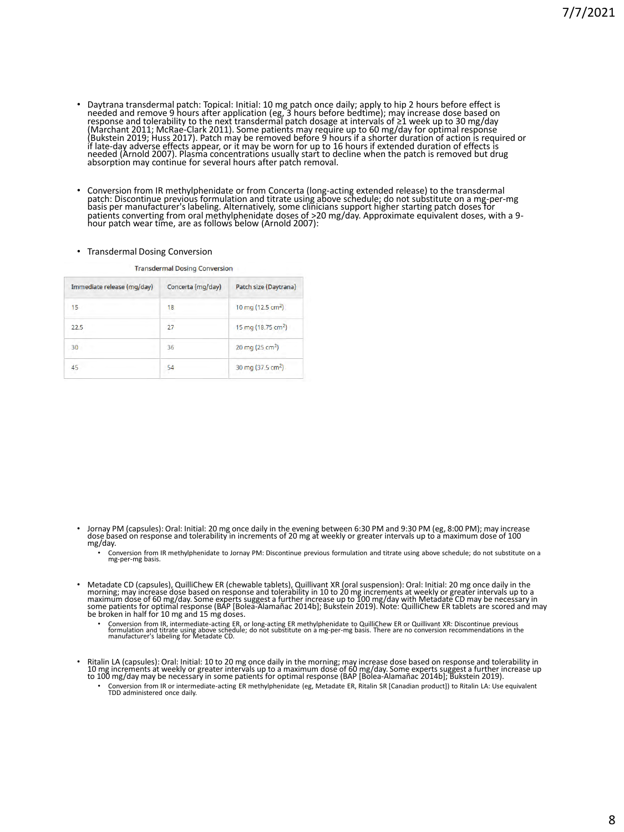- Daytrana transdermal patch: Topical: Initial: 10 mg patch once daily; apply to hip 2 hours before effect is<br>needed and remove 9 hours after application (eg, 3 hours before bedtime); may increase dose based on<br>response a needed (Arnold 2007). Plasma concentrations usually start to decline when the patch is removed but drug absorption may continue for several hours after patch removal.
- Conversion from IR methylphenidate or from Concerta (long-acting extended release) to the transdermal<br>patch: Discontinue previous formulation and titrate using above schedule; do not substitute on a mg-per-mg<br>basis per m

### • Transdermal Dosing Conversion

**Transdermal Dosing Conversion** 

| Immediate release (mg/day) | Concerta (mg/day) | Patch size (Daytrana)          |
|----------------------------|-------------------|--------------------------------|
| 15                         | 18                | 10 mg (12.5 cm <sup>2</sup> )  |
| 22.5                       | 27                | 15 mg (18.75 cm <sup>2</sup> ) |
| 30                         | 36                | 20 mg (25 cm <sup>2</sup> )    |
| 45                         | 54                | 30 mg (37.5 cm <sup>2</sup> )  |

- ∙ Jornay PM (capsules): Oral: Initial: 20 mg once daily in the evening between 6:30 PM and 9:30 PM (eg, 8:00 PM); may increase<br>dose based on response and tolerability in increments of 20 mg at weekly or greater intervals mg/day.
	- Conversion from IR methylphenidate to Jornay PM: Discontinue previous formulation and titrate using above schedule; do not substitute on a mg-per-mg basis.
- Metadate CD (capsules), QuilliChew ER (chewable tablets), Quillivant XR (oral suspension): Oral: Initial: 20 mg once daily in the morning; may increase dose based on response and tolerábility in 10 to 20 mg increments at weekly or greater intervals up to a<br>maximum dose of 60 mg/day. Some experts suggest a further increase up to 100 mg/day with Metada be broken in half for 10 mg and 15 mg doses.
	- Conversion from IR, intermediate-acting ER, or long-acting ER methylphenidate to QuilliChew ER or Quillivant XR: Discontinue previous<br>formulation and titrate using above schedule; do not substitute on a mg-per-mg basis.
- Ritalin LA (capsules): Oral: Initial: 10 to 20 mg once daily in the morning; may increase dose based on response and tolerability in<br>10 mg increments at weekly or greater intervals up to a maximum dose of 60 mg/day. Some
	- Conversion from IR or intermediate-acting ER methylphenidate (eg, Metadate ER, Ritalin SR [Canadian product]) to Ritalin LA: Use equivalent TDD administered once daily.